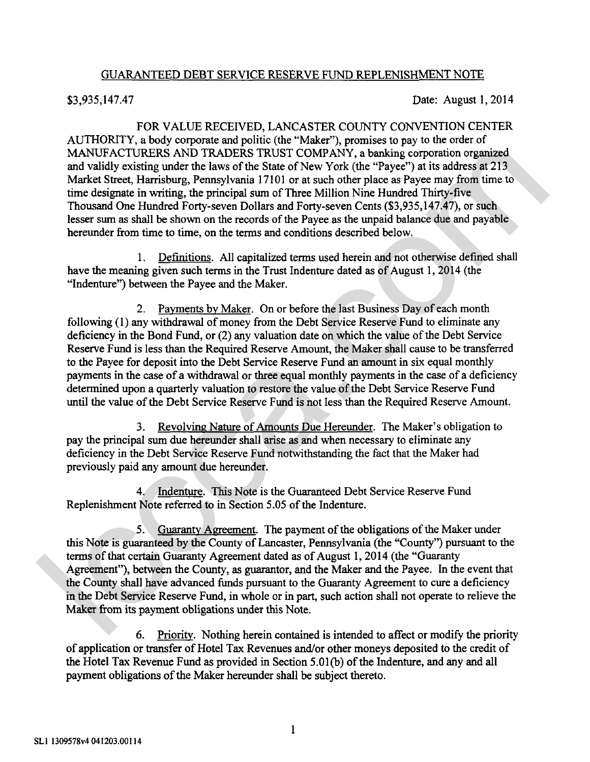## GUARANTEED DEBT SERVICE RESERVE FUND REPLENISHMENT NOTE

\$3,935,147.47 Date: August 1,2014

FOR VALUE RECEIVED, LANCASTER COUNTY CONVENTION CENTER AUTHORITY, a body corporate and politic (the "Maker"), promises to pay to the order of MANUFACTURERS AND TRADERS TRUST COMPANY, a banking corporation organized and validly existing under the laws of the State of New York (the "Payee") at its address at 213 Market Street, Harrisburg, Pennsylvania 17101 or at such other place as Payee may from time to time designate in writing, the principal sum of Three Million Nine Hundred Thirty-five Thousand One Hundred Forty-seven Dollars and Forty-seven Cents (\$3,935,147.47), or such lesser sum as shall be shown on the records of the Payee as the unpaid balance due and payable hereunder from time to time, on the terms and conditions described below.

1. Definitions. All capitalized terms used herein and not otherwise defined shall have the meaning given such terms in the Trust Indenture dated as of August 1,2014 (the "Indenture") between the Payee and the Maker.

2. Payments bv Maker. On or before the last Business Day of each month following (1) any withdrawal of money fiom the Debt Service Reserve Fund to eliminate any deficiency in the Bond Fund, or (2) any valuation date on which the value of the Debt Service Reserve Fund is less than the Required Reserve Amount, the Maker shall cause to be transferred to the Payee for deposit into the Debt Service Reserve Fund an amount in six equal monthly payments in the case of a withdrawal or three equal monthly payments in the case of a deficiency determined upon a quarterly valuation to restore the value of the Debt Service Reserve Fund until the value of the Debt Service Reserve Fund is not less than the Required Reserve Amount. MANUTACTURENES AND TRADERS TRUST COMPA<sup>N</sup>N, a basking someonizoned and validly existing under the laws of the State of New York. (the "Payee") at its addets at 213 Mark States, and the laws of the State of New York. (the

3. Revolving Nature of Amounts Due Hereunder. The Maker's obligation to pay the principal sum due hereunder shall arise as and when necessary to eliminate any deficiency in the Debt Service Reserve Fund notwithstanding the fact that the Maker had previously paid any amount due hereunder.

4. Indenture. This Note is the Guaranteed Debt Service Reserve Fund Replenishment Note referred to in Section 5.05 of the Indenture.

5. Guaranty Agreement. The payment of the obligations of the Maker under this Note is guaranteed by the County of Lancaster, Pennsylvania (the "County") pursuant to the terms of that certain Guaranty Agreement dated as of August 1, 2014 (the "Guaranty Agreement"), between the County, as guarantor, and the Maker and the Payee. In the event that the County shall have advanced funds pursuant to the Guaranty Agreement to cure a deficiency in the Debt Service Reserve Fund, in whole or in part, such action shall not operate to relieve the Maker fiom its payment obligations under this Note.

*6.* Prioritv. Nothing herein contained is intended to affect or modify the priority of application or transfer of Hotel Tax Revenues and/or other moneys deposited to the credit of the Hotel Tax Revenue Fund as provided in Section 5.01 (b) of the Indenture, and any and all payment obligations of the Maker hereunder shall be subject thereto.